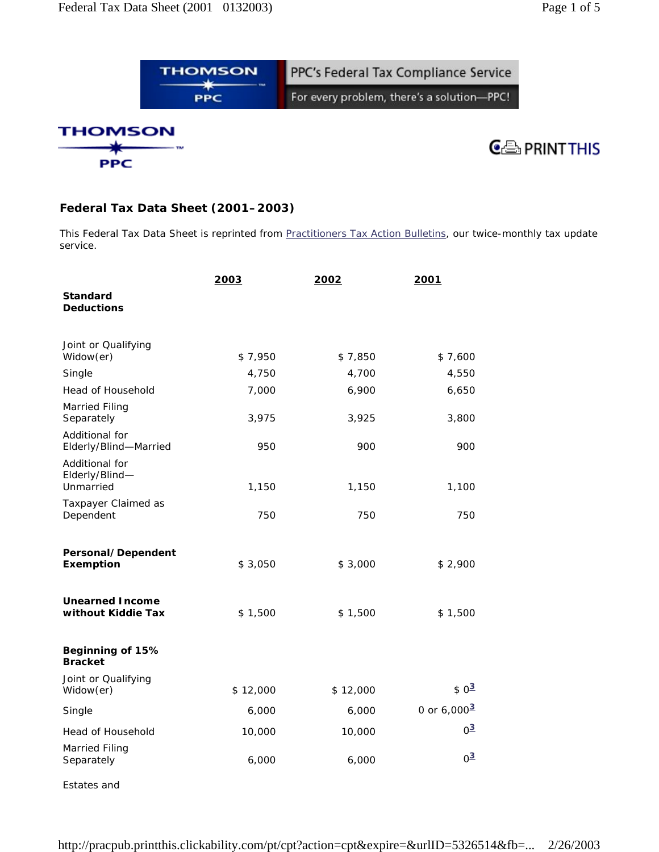## **Federal Tax Data Sheet (2001–2003)**

This Federal Tax Data Sheet is reprinted from *Practitioners Tax Action Bulletins*, our twice-monthly tax update service.

|                                               | 2003     | 2002     | 2001                         |
|-----------------------------------------------|----------|----------|------------------------------|
| Standard<br><b>Deductions</b>                 |          |          |                              |
| Joint or Qualifying<br>Widow(er)              | \$7,950  | \$7,850  | \$7,600                      |
| Single                                        | 4,750    | 4,700    | 4,550                        |
| Head of Household                             | 7,000    | 6,900    | 6,650                        |
| Married Filing<br>Separately                  | 3,975    | 3,925    | 3,800                        |
| Additional for<br>Elderly/Blind-Married       | 950      | 900      | 900                          |
| Additional for<br>Elderly/Blind-<br>Unmarried | 1,150    | 1,150    | 1,100                        |
| Taxpayer Claimed as<br>Dependent              | 750      | 750      | 750                          |
| Personal/Dependent<br>Exemption               | \$3,050  | \$3,000  | \$2,900                      |
| <b>Unearned Income</b><br>without Kiddie Tax  | \$1,500  | \$1,500  | \$1,500                      |
| Beginning of 15%<br><b>Bracket</b>            |          |          |                              |
| Joint or Qualifying<br>Widow(er)              | \$12,000 | \$12,000 | $$0^3$                       |
| Single                                        | 6,000    | 6,000    | 0 or $6,000^{\underline{3}}$ |
| Head of Household                             | 10,000   | 10,000   | $0^{\underline{3}}$          |
| Married Filing<br>Separately                  | 6,000    | 6,000    | $0^{\underline{3}}$          |

Estates and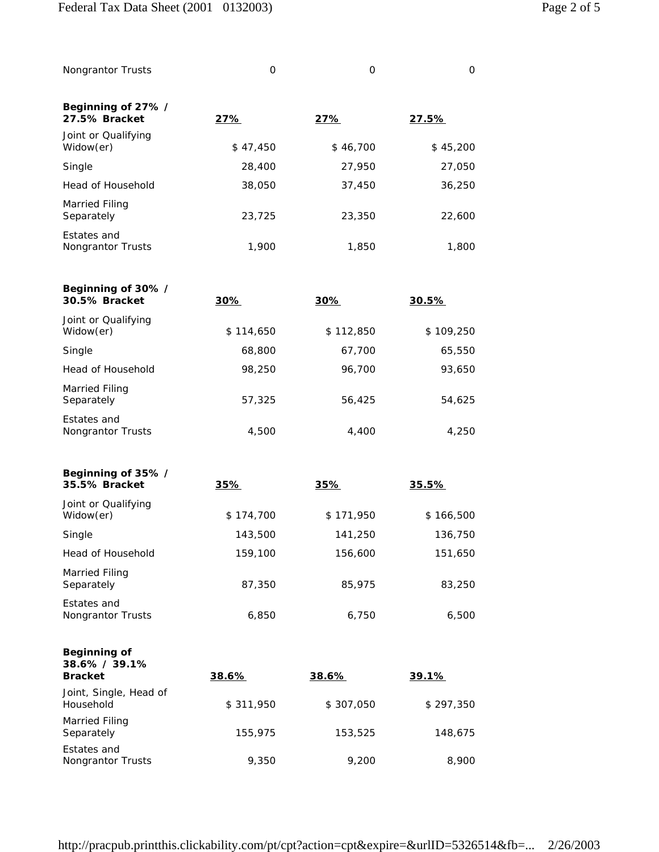Nongrantor Trusts and the Communication of the Communication of the Communication of the Communication of the Co

**Beginning of 27% / 27.5% Bracket 27% 27% 27.5%** Joint or Qualifying Widow(er)  $$ 47,450$   $$ 46,700$   $$ 45,200$ Single 28,400 27,950 27,050 Head of Household 38,050 37,450 36,250 Married Filing Separately 23,725 23,350 22,600 Estates and

Nongrantor Trusts 1,900 1,850 1,800

| Beginning of 30% /<br>30.5% Bracket | 30%       | 30%       | 30.5%     |
|-------------------------------------|-----------|-----------|-----------|
| Joint or Qualifying<br>Widow(er)    | \$114,650 | \$112,850 | \$109,250 |
| Single                              | 68,800    | 67,700    | 65,550    |
| Head of Household                   | 98,250    | 96,700    | 93,650    |
| Married Filing<br>Separately        | 57,325    | 56,425    | 54,625    |
| Estates and<br>Nongrantor Trusts    | 4,500     | 4,400     | 4,250     |

| Beginning of 35% /<br>35.5% Bracket | 35%       | 35%       | 35.5%     |
|-------------------------------------|-----------|-----------|-----------|
| Joint or Qualifying<br>Widow(er)    | \$174,700 | \$171,950 | \$166,500 |
| Single                              | 143,500   | 141,250   | 136,750   |
| Head of Household                   | 159,100   | 156,600   | 151,650   |
| Married Filing<br>Separately        | 87,350    | 85,975    | 83,250    |
| Estates and<br>Nongrantor Trusts    | 6,850     | 6.750     | 6,500     |

| Beginning of<br>$38.6\% / 39.1\%$<br><b>Bracket</b> | 38.6%     | 38.6%     | 39.1%     |
|-----------------------------------------------------|-----------|-----------|-----------|
| Joint, Single, Head of<br>Household                 | \$311,950 | \$307,050 | \$297,350 |
| Married Filing<br>Separately                        | 155,975   | 153,525   | 148,675   |
| Estates and<br>Nongrantor Trusts                    | 9,350     | 9,200     | 8,900     |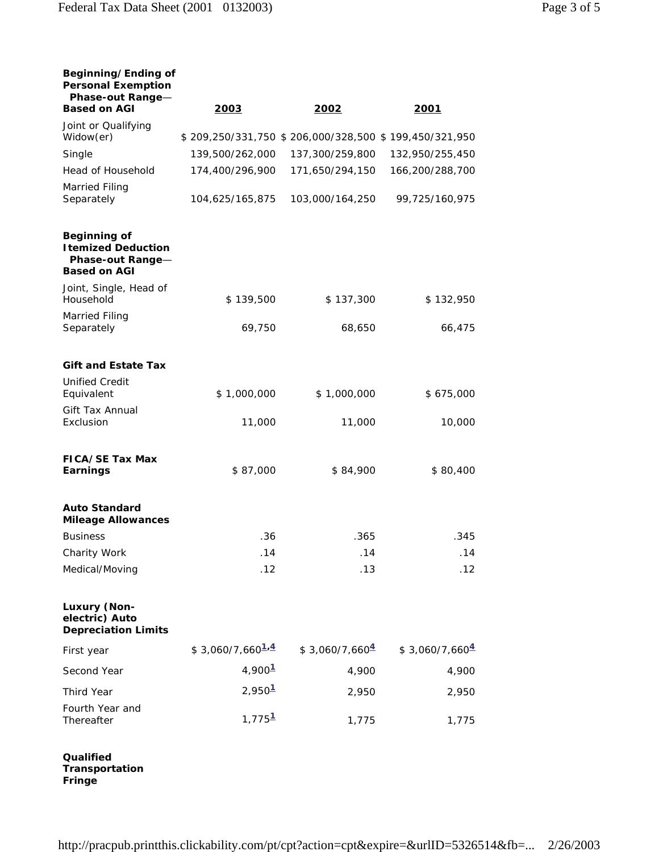| Beginning/Ending of<br><b>Personal Exemption</b><br>Phase-out Range-<br><b>Based on AGI</b> | 2003                 | 2002                                                                     | 2001             |
|---------------------------------------------------------------------------------------------|----------------------|--------------------------------------------------------------------------|------------------|
| Joint or Qualifying                                                                         |                      |                                                                          |                  |
| Widow(er)<br>Single                                                                         | 139,500/262,000      | \$209,250/331,750 \$206,000/328,500 \$199,450/321,950<br>137,300/259,800 | 132,950/255,450  |
| Head of Household                                                                           | 174,400/296,900      | 171,650/294,150                                                          | 166,200/288,700  |
| <b>Married Filing</b>                                                                       |                      |                                                                          |                  |
| Separately                                                                                  | 104,625/165,875      | 103,000/164,250                                                          | 99,725/160,975   |
| Beginning of<br><b>Itemized Deduction</b><br>Phase-out Range-<br><b>Based on AGI</b>        |                      |                                                                          |                  |
| Joint, Single, Head of<br>Household                                                         | \$139,500            | \$137,300                                                                | \$132,950        |
| Married Filing<br>Separately                                                                | 69,750               | 68,650                                                                   | 66,475           |
| <b>Gift and Estate Tax</b>                                                                  |                      |                                                                          |                  |
| <b>Unified Credit</b><br>Equivalent                                                         | \$1,000,000          | \$1,000,000                                                              | \$675,000        |
| Gift Tax Annual<br>Exclusion                                                                | 11,000               | 11,000                                                                   | 10,000           |
| FICA/SE Tax Max<br>Earnings                                                                 | \$87,000             | \$84,900                                                                 | \$80,400         |
| <b>Auto Standard</b><br><b>Mileage Allowances</b>                                           |                      |                                                                          |                  |
| <b>Business</b>                                                                             | .36                  | .365                                                                     | .345             |
| Charity Work                                                                                | .14                  | .14                                                                      | .14              |
| Medical/Moving                                                                              | .12                  | .13                                                                      | .12              |
| Luxury (Non-<br>electric) Auto<br><b>Depreciation Limits</b>                                |                      |                                                                          |                  |
| First year                                                                                  | $$3,060/7,660^{1.4}$ | $$3,060/7,660^4$                                                         | $$3,060/7,660^4$ |
| Second Year                                                                                 | 4,900 <sup>1</sup>   | 4,900                                                                    | 4,900            |
| Third Year                                                                                  | 2,950 <sup>1</sup>   | 2,950                                                                    | 2,950            |
| Fourth Year and<br>Thereafter                                                               | 1,775 <sup>1</sup>   | 1,775                                                                    | 1,775            |
|                                                                                             |                      |                                                                          |                  |

**Qualified Transportation Fringe**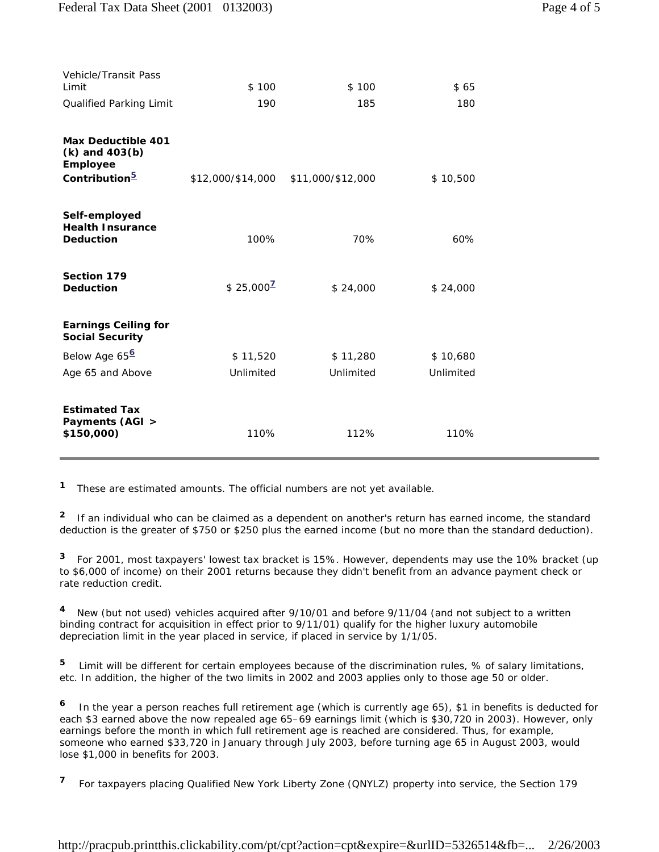| <b>Vehicle/Transit Pass</b><br>Limit                                                     | \$100             | \$100             | \$65      |
|------------------------------------------------------------------------------------------|-------------------|-------------------|-----------|
| Qualified Parking Limit                                                                  | 190               | 185               | 180       |
| <b>Max Deductible 401</b><br>$(k)$ and $403(b)$<br>Employee<br>Contribution <sup>5</sup> | \$12,000/\$14,000 | \$11,000/\$12,000 | \$10,500  |
| Self-employed<br><b>Health Insurance</b><br>Deduction                                    | 100%              | 70%               | 60%       |
| Section 179<br>Deduction                                                                 | $$25,000^2$       | \$24,000          | \$24,000  |
| <b>Earnings Ceiling for</b><br>Social Security                                           |                   |                   |           |
| Below Age 65 <sup>6</sup>                                                                | \$11,520          | \$11,280          | \$10,680  |
| Age 65 and Above                                                                         | Unlimited         | Unlimited         | Unlimited |
| <b>Estimated Tax</b><br>Payments (AGI ><br>\$150,000)                                    | 110%              | 112%              | 110%      |

**<sup>1</sup>**These are estimated amounts. The official numbers are not yet available.

<sup>2</sup> If an individual who can be claimed as a dependent on another's return has earned income, the standard deduction is the greater of \$750 or \$250 plus the earned income (but no more than the standard deduction).

**<sup>3</sup>**For 2001, most taxpayers' lowest tax bracket is 15%. However, dependents may use the 10% bracket (up to \$6,000 of income) on their 2001 returns because they didn't benefit from an advance payment check or rate reduction credit.

<sup>4</sup> New (but not used) vehicles acquired after 9/10/01 and before 9/11/04 (and not subject to a written binding contract for acquisition in effect prior to 9/11/01) qualify for the higher luxury automobile depreciation limit in the year placed in service, if placed in service by 1/1/05.

**<sup>5</sup>** Limit will be different for certain employees because of the discrimination rules, % of salary limitations, etc. In addition, the higher of the two limits in 2002 and 2003 applies only to those age 50 or older.

**<sup>6</sup>** In the year a person reaches full retirement age (which is currently age 65), \$1 in benefits is deducted for each \$3 earned above the now repealed age 65–69 earnings limit (which is \$30,720 in 2003). However, only earnings before the month in which full retirement age is reached are considered. Thus, for example, someone who earned \$33,720 in January through July 2003, before turning age 65 in August 2003, would lose \$1,000 in benefits for 2003.

**<sup>7</sup>** For taxpayers placing Qualified New York Liberty Zone (QNYLZ) property into service, the Section 179